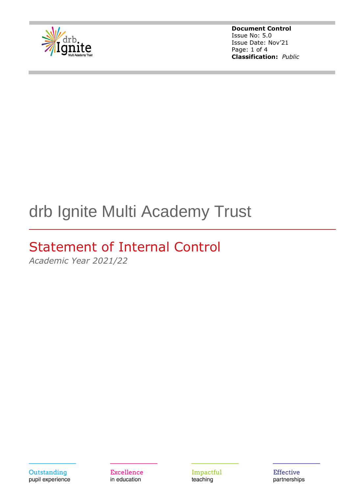

**Document Control** Issue No: 5.0 Issue Date: Nov'21 Page: 1 of 4 **Classification:** *Public*

# drb Ignite Multi Academy Trust

## Statement of Internal Control

*Academic Year 2021/22*

Outstanding pupil experience **Excellence** in education

Impactful teaching

**Effective** partnerships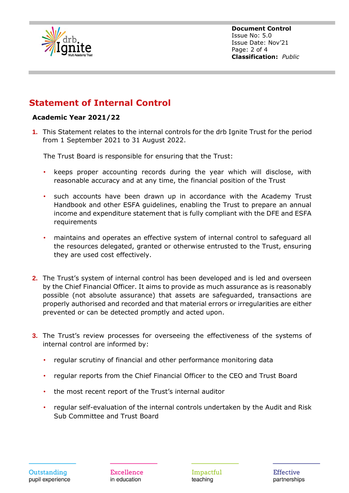

**Document Control** Issue No: 5.0 Issue Date: Nov'21 Page: 2 of 4 **Classification:** *Public*

#### **Statement of Internal Control**

#### **Academic Year 2021/22**

**1.** This Statement relates to the internal controls for the drb Ignite Trust for the period from 1 September 2021 to 31 August 2022.

The Trust Board is responsible for ensuring that the Trust:

- keeps proper accounting records during the year which will disclose, with reasonable accuracy and at any time, the financial position of the Trust
- such accounts have been drawn up in accordance with the Academy Trust Handbook and other ESFA guidelines, enabling the Trust to prepare an annual income and expenditure statement that is fully compliant with the DFE and ESFA requirements
- maintains and operates an effective system of internal control to safeguard all the resources delegated, granted or otherwise entrusted to the Trust, ensuring they are used cost effectively.
- **2.** The Trust's system of internal control has been developed and is led and overseen by the Chief Financial Officer. It aims to provide as much assurance as is reasonably possible (not absolute assurance) that assets are safeguarded, transactions are properly authorised and recorded and that material errors or irregularities are either prevented or can be detected promptly and acted upon.
- **3.** The Trust's review processes for overseeing the effectiveness of the systems of internal control are informed by:
	- regular scrutiny of financial and other performance monitoring data
	- regular reports from the Chief Financial Officer to the CEO and Trust Board
	- the most recent report of the Trust's internal auditor
	- regular self-evaluation of the internal controls undertaken by the Audit and Risk Sub Committee and Trust Board

Impactful teaching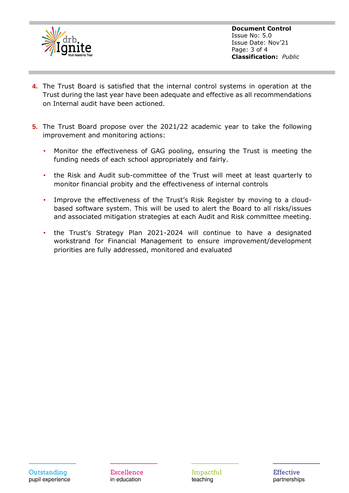

**Document Control** Issue No: 5.0 Issue Date: Nov'21 Page: 3 of 4 **Classification:** *Public*

- **4.** The Trust Board is satisfied that the internal control systems in operation at the Trust during the last year have been adequate and effective as all recommendations on Internal audit have been actioned.
- **5.** The Trust Board propose over the 2021/22 academic year to take the following improvement and monitoring actions:
	- Monitor the effectiveness of GAG pooling, ensuring the Trust is meeting the funding needs of each school appropriately and fairly.
	- the Risk and Audit sub-committee of the Trust will meet at least quarterly to monitor financial probity and the effectiveness of internal controls
	- Improve the effectiveness of the Trust's Risk Register by moving to a cloudbased software system. This will be used to alert the Board to all risks/issues and associated mitigation strategies at each Audit and Risk committee meeting.
	- the Trust's Strategy Plan 2021-2024 will continue to have a designated workstrand for Financial Management to ensure improvement/development priorities are fully addressed, monitored and evaluated

Excellence in education

Impactful teaching

**Effective** partnerships